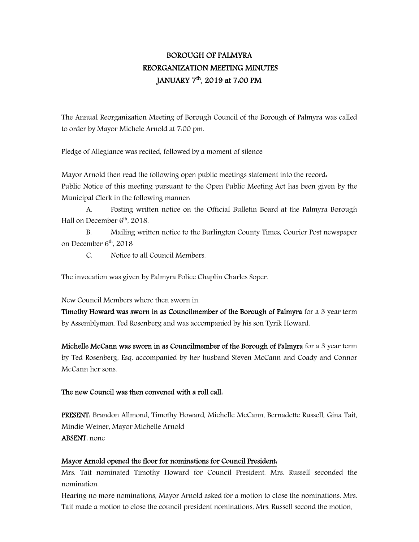# BOROUGH OF PALMYRA REORGANIZATION MEETING MINUTES JANUARY 7th, 2019 at 7:00 PM

The Annual Reorganization Meeting of Borough Council of the Borough of Palmyra was called to order by Mayor Michele Arnold at 7:00 pm.

Pledge of Allegiance was recited, followed by a moment of silence

Mayor Arnold then read the following open public meetings statement into the record: Public Notice of this meeting pursuant to the Open Public Meeting Act has been given by the Municipal Clerk in the following manner:

A. Posting written notice on the Official Bulletin Board at the Palmyra Borough Hall on December  $6<sup>th</sup>$ , 2018.

B. Mailing written notice to the Burlington County Times, Courier Post newspaper on December  $6<sup>th</sup>$ , 2018

C. Notice to all Council Members.

The invocation was given by Palmyra Police Chaplin Charles Soper.

New Council Members where then sworn in.

Timothy Howard was sworn in as Councilmember of the Borough of Palmyra for a 3 year term by Assemblyman, Ted Rosenberg and was accompanied by his son Tyrik Howard.

Michelle McCann was sworn in as Councilmember of the Borough of Palmyra for a 3 year term by Ted Rosenberg, Esq. accompanied by her husband Steven McCann and Coady and Connor McCann her sons.

### The new Council was then convened with a roll call:

PRESENT: Brandon Allmond, Timothy Howard, Michelle McCann, Bernadette Russell, Gina Tait, Mindie Weiner, Mayor Michelle Arnold ABSENT: none

### Mayor Arnold opened the floor for nominations for Council President:

Mrs. Tait nominated Timothy Howard for Council President. Mrs. Russell seconded the nomination.

Hearing no more nominations, Mayor Arnold asked for a motion to close the nominations. Mrs. Tait made a motion to close the council president nominations, Mrs. Russell second the motion.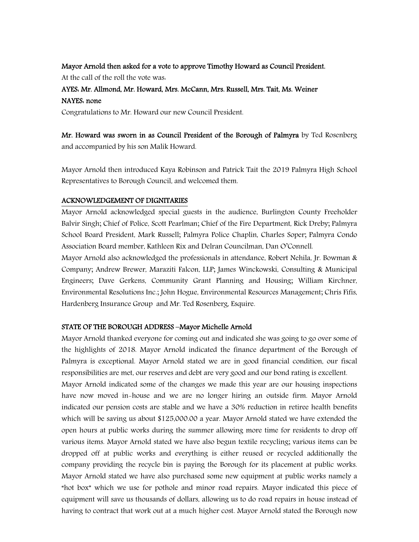#### Mayor Arnold then asked for a vote to approve Timothy Howard as Council President.

At the call of the roll the vote was:

### AYES: Mr. Allmond, Mr. Howard, Mrs. McCann, Mrs. Russell, Mrs. Tait, Ms. Weiner

### NAYES: none

Congratulations to Mr. Howard our new Council President.

Mr. Howard was sworn in as Council President of the Borough of Palmyra by Ted Rosenberg and accompanied by his son Malik Howard.

Mayor Arnold then introduced Kaya Robinson and Patrick Tait the 2019 Palmyra High School Representatives to Borough Council, and welcomed them.

### ACKNOWLEDGEMENT OF DIGNITARIES

Mayor Arnold acknowledged special guests in the audience, Burlington County Freeholder Balvir Singh; Chief of Police, Scott Pearlman; Chief of the Fire Department, Rick Dreby; Palmyra School Board President, Mark Russell; Palmyra Police Chaplin, Charles Soper; Palmyra Condo Association Board member, Kathleen Rix and Delran Councilman, Dan O'Connell.

Mayor Arnold also acknowledged the professionals in attendance, Robert Nehila, Jr. Bowman & Company; Andrew Brewer, Maraziti Falcon, LLP; James Winckowski, Consulting & Municipal Engineers; Dave Gerkens, Community Grant Planning and Housing; William Kirchner, Environmental Resolutions Inc.; John Hogue, Environmental Resources Management; Chris Fifis, Hardenberg Insurance Group and Mr. Ted Rosenberg, Esquire.

### STATE OF THE BOROUGH ADDRESS –Mayor Michelle Arnold

Mayor Arnold thanked everyone for coming out and indicated she was going to go over some of the highlights of 2018. Mayor Arnold indicated the finance department of the Borough of Palmyra is exceptional. Mayor Arnold stated we are in good financial condition, our fiscal responsibilities are met, our reserves and debt are very good and our bond rating is excellent.

Mayor Arnold indicated some of the changes we made this year are our housing inspections have now moved in-house and we are no longer hiring an outside firm. Mayor Arnold indicated our pension costs are stable and we have a 30% reduction in retiree health benefits which will be saving us about \$125,000.00 a year. Mayor Arnold stated we have extended the open hours at public works during the summer allowing more time for residents to drop off various items. Mayor Arnold stated we have also begun textile recycling; various items can be dropped off at public works and everything is either reused or recycled additionally the company providing the recycle bin is paying the Borough for its placement at public works. Mayor Arnold stated we have also purchased some new equipment at public works namely a "hot box" which we use for pothole and minor road repairs. Mayor indicated this piece of equipment will save us thousands of dollars, allowing us to do road repairs in house instead of having to contract that work out at a much higher cost. Mayor Arnold stated the Borough now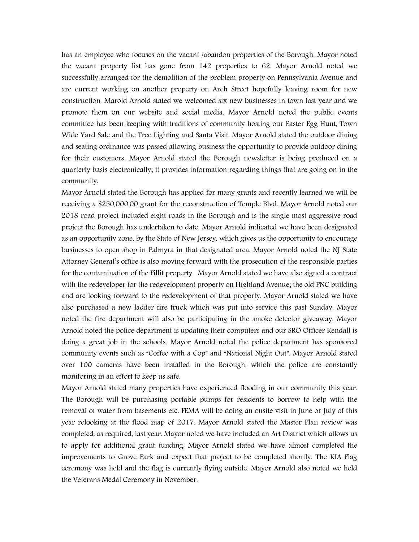has an employee who focuses on the vacant /abandon properties of the Borough. Mayor noted the vacant property list has gone from 142 properties to 62. Mayor Arnold noted we successfully arranged for the demolition of the problem property on Pennsylvania Avenue and are current working on another property on Arch Street hopefully leaving room for new construction. Marold Arnold stated we welcomed six new businesses in town last year and we promote them on our website and social media. Mayor Arnold noted the public events committee has been keeping with traditions of community hosting our Easter Egg Hunt, Town Wide Yard Sale and the Tree Lighting and Santa Visit. Mayor Arnold stated the outdoor dining and seating ordinance was passed allowing business the opportunity to provide outdoor dining for their customers. Mayor Arnold stated the Borough newsletter is being produced on a quarterly basis electronically; it provides information regarding things that are going on in the community.

Mayor Arnold stated the Borough has applied for many grants and recently learned we will be receiving a \$250,000.00 grant for the reconstruction of Temple Blvd. Mayor Arnold noted our 2018 road project included eight roads in the Borough and is the single most aggressive road project the Borough has undertaken to date. Mayor Arnold indicated we have been designated as an opportunity zone, by the State of New Jersey, which gives us the opportunity to encourage businesses to open shop in Palmyra in that designated area. Mayor Arnold noted the NJ State Attorney General's office is also moving forward with the prosecution of the responsible parties for the contamination of the Fillit property. Mayor Arnold stated we have also signed a contract with the redeveloper for the redevelopment property on Highland Avenue; the old PNC building and are looking forward to the redevelopment of that property. Mayor Arnold stated we have also purchased a new ladder fire truck which was put into service this past Sunday. Mayor noted the fire department will also be participating in the smoke detector giveaway. Mayor Arnold noted the police department is updating their computers and our SRO Officer Kendall is doing a great job in the schools. Mayor Arnold noted the police department has sponsored community events such as "Coffee with a Cop" and "National Night Out". Mayor Arnold stated over 100 cameras have been installed in the Borough, which the police are constantly monitoring in an effort to keep us safe.

Mayor Arnold stated many properties have experienced flooding in our community this year. The Borough will be purchasing portable pumps for residents to borrow to help with the removal of water from basements etc. FEMA will be doing an onsite visit in June or July of this year relooking at the flood map of 2017. Mayor Arnold stated the Master Plan review was completed, as required, last year. Mayor noted we have included an Art District which allows us to apply for additional grant funding. Mayor Arnold stated we have almost completed the improvements to Grove Park and expect that project to be completed shortly. The KIA Flag ceremony was held and the flag is currently flying outside. Mayor Arnold also noted we held the Veterans Medal Ceremony in November.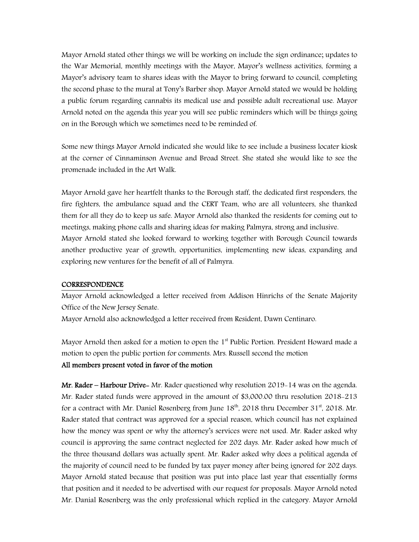Mayor Arnold stated other things we will be working on include the sign ordinance; updates to the War Memorial, monthly meetings with the Mayor, Mayor's wellness activities, forming a Mayor's advisory team to shares ideas with the Mayor to bring forward to council, completing the second phase to the mural at Tony's Barber shop. Mayor Arnold stated we would be holding a public forum regarding cannabis its medical use and possible adult recreational use. Mayor Arnold noted on the agenda this year you will see public reminders which will be things going on in the Borough which we sometimes need to be reminded of.

Some new things Mayor Arnold indicated she would like to see include a business locater kiosk at the corner of Cinnaminson Avenue and Broad Street. She stated she would like to see the promenade included in the Art Walk.

Mayor Arnold gave her heartfelt thanks to the Borough staff, the dedicated first responders, the fire fighters, the ambulance squad and the CERT Team, who are all volunteers, she thanked them for all they do to keep us safe. Mayor Arnold also thanked the residents for coming out to meetings, making phone calls and sharing ideas for making Palmyra, strong and inclusive. Mayor Arnold stated she looked forward to working together with Borough Council towards another productive year of growth, opportunities, implementing new ideas, expanding and exploring new ventures for the benefit of all of Palmyra.

#### **CORRESPONDENCE**

Mayor Arnold acknowledged a letter received from Addison Hinrichs of the Senate Majority Office of the New Jersey Senate.

Mayor Arnold also acknowledged a letter received from Resident, Dawn Centinaro.

Mayor Arnold then asked for a motion to open the  $1<sup>st</sup>$  Public Portion. President Howard made a motion to open the public portion for comments. Mrs. Russell second the motion

### All members present voted in favor of the motion

Mr. Rader – Harbour Drive- Mr. Rader questioned why resolution 2019-14 was on the agenda. Mr. Rader stated funds were approved in the amount of \$3,000.00 thru resolution 2018-213 for a contract with Mr. Daniel Rosenberg from June  $18<sup>th</sup>$ , 2018 thru December 31<sup>st</sup>, 2018. Mr. Rader stated that contract was approved for a special reason, which council has not explained how the money was spent or why the attorney's services were not used. Mr. Rader asked why council is approving the same contract neglected for 202 days. Mr. Rader asked how much of the three thousand dollars was actually spent. Mr. Rader asked why does a political agenda of the majority of council need to be funded by tax payer money after being ignored for 202 days. Mayor Arnold stated because that position was put into place last year that essentially forms that position and it needed to be advertised with our request for proposals. Mayor Arnold noted Mr. Danial Rosenberg was the only professional which replied in the category. Mayor Arnold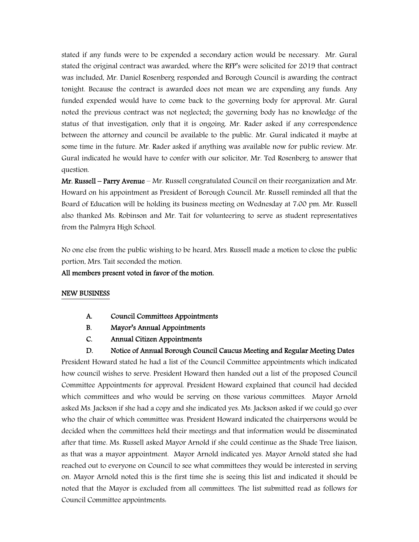stated if any funds were to be expended a secondary action would be necessary. Mr. Gural stated the original contract was awarded, where the RFP's were solicited for 2019 that contract was included, Mr. Daniel Rosenberg responded and Borough Council is awarding the contract tonight. Because the contract is awarded does not mean we are expending any funds. Any funded expended would have to come back to the governing body for approval. Mr. Gural noted the previous contract was not neglected; the governing body has no knowledge of the status of that investigation, only that it is ongoing. Mr. Rader asked if any correspondence between the attorney and council be available to the public. Mr. Gural indicated it maybe at some time in the future. Mr. Rader asked if anything was available now for public review. Mr. Gural indicated he would have to confer with our solicitor, Mr. Ted Rosenberg to answer that question.

Mr. Russell – Parry Avenue – Mr. Russell congratulated Council on their reorganization and Mr. Howard on his appointment as President of Borough Council. Mr. Russell reminded all that the Board of Education will be holding its business meeting on Wednesday at 7:00 pm. Mr. Russell also thanked Ms. Robinson and Mr. Tait for volunteering to serve as student representatives from the Palmyra High School.

No one else from the public wishing to be heard, Mrs. Russell made a motion to close the public portion, Mrs. Tait seconded the motion.

All members present voted in favor of the motion.

### NEW BUSINESS

- A. Council Committees Appointments
- B. Mayor's Annual Appointments
- C. Annual Citizen Appointments
- D. Notice of Annual Borough Council Caucus Meeting and Regular Meeting Dates

President Howard stated he had a list of the Council Committee appointments which indicated how council wishes to serve. President Howard then handed out a list of the proposed Council Committee Appointments for approval. President Howard explained that council had decided which committees and who would be serving on those various committees. Mayor Arnold asked Ms. Jackson if she had a copy and she indicated yes. Ms. Jackson asked if we could go over who the chair of which committee was. President Howard indicated the chairpersons would be decided when the committees held their meetings and that information would be disseminated after that time. Ms. Russell asked Mayor Arnold if she could continue as the Shade Tree liaison, as that was a mayor appointment. Mayor Arnold indicated yes. Mayor Arnold stated she had reached out to everyone on Council to see what committees they would be interested in serving on. Mayor Arnold noted this is the first time she is seeing this list and indicated it should be noted that the Mayor is excluded from all committees. The list submitted read as follows for Council Committee appointments: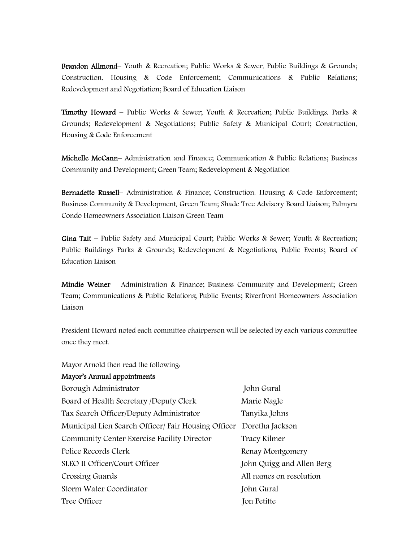Brandon Allmond– Youth & Recreation; Public Works & Sewer, Public Buildings & Grounds; Construction, Housing & Code Enforcement; Communications & Public Relations; Redevelopment and Negotiation; Board of Education Liaison

**Timothy Howard** – Public Works & Sewer; Youth & Recreation; Public Buildings, Parks & Grounds; Redevelopment & Negotiations; Public Safety & Municipal Court; Construction, Housing & Code Enforcement

Michelle McCann– Administration and Finance; Communication & Public Relations; Business Community and Development; Green Team; Redevelopment & Negotiation

Bernadette Russell– Administration & Finance; Construction, Housing & Code Enforcement; Business Community & Development, Green Team; Shade Tree Advisory Board Liaison; Palmyra Condo Homeowners Association Liaison Green Team

Gina Tait – Public Safety and Municipal Court; Public Works & Sewer; Youth & Recreation; Public Buildings Parks & Grounds; Redevelopment & Negotiations, Public Events; Board of Education Liaison

Mindie Weiner – Administration & Finance; Business Community and Development; Green Team; Communications & Public Relations; Public Events; Riverfront Homeowners Association Liaison

President Howard noted each committee chairperson will be selected by each various committee once they meet.

Mayor Arnold then read the following:

### Mayor's Annual appointments

| Borough Administrator                               | John Gural                |
|-----------------------------------------------------|---------------------------|
| Board of Health Secretary /Deputy Clerk             | Marie Nagle               |
| Tax Search Officer/Deputy Administrator             | Tanyika Johns             |
| Municipal Lien Search Officer/ Fair Housing Officer | Doretha Jackson           |
| Community Center Exercise Facility Director         | Tracy Kilmer              |
| Police Records Clerk                                | Renay Montgomery          |
| SLEO II Officer/Court Officer                       | John Quigg and Allen Berg |
| Crossing Guards                                     | All names on resolution   |
| Storm Water Coordinator                             | John Gural                |
| Tree Officer                                        | Jon Petitte               |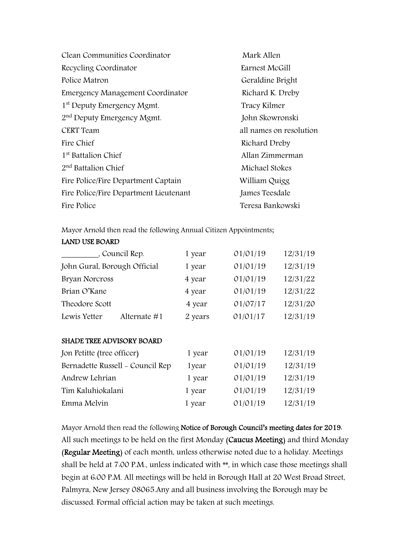| Clean Communities Coordinator          | Mark Allen              |
|----------------------------------------|-------------------------|
| Recycling Coordinator                  | Earnest McGill          |
| Police Matron                          | Geraldine Bright        |
| Emergency Management Coordinator       | Richard K. Dreby        |
| 1 <sup>st</sup> Deputy Emergency Mgmt. | Tracy Kilmer            |
| 2 <sup>nd</sup> Deputy Emergency Mgmt. | John Skowronski         |
| <b>CERT</b> Team                       | all names on resolution |
| Fire Chief                             | Richard Dreby           |
| 1 <sup>st</sup> Battalion Chief        | Allan Zimmerman         |
| $2nd$ Battalion Chief                  | Michael Stokes          |
| Fire Police/Fire Department Captain    | William Quigg           |
| Fire Police/Fire Department Lieutenant | James Teesdale          |
| Fire Police                            | Teresa Bankowski        |

Mayor Arnold then read the following Annual Citizen Appointments;

### LAND USE BOARD

| , Council Rep.               | 1 year  | 01/01/19 | 12/31/19 |
|------------------------------|---------|----------|----------|
| John Gural, Borough Official | 1 year  | 01/01/19 | 12/31/19 |
| Bryan Norcross               | 4 year  | 01/01/19 | 12/31/22 |
| Brian O'Kane                 | 4 year  | 01/01/19 | 12/31/22 |
| Theodore Scott               | 4 year  | 01/07/17 | 12/31/20 |
| Lewis Yetter<br>Alternate #1 | 2 years | 01/01/17 | 12/31/19 |

### SHADE TREE ADVISORY BOARD

| Jon Petitte (tree officer)       | 1 year | 01/01/19 | 12/31/19 |
|----------------------------------|--------|----------|----------|
| Bernadette Russell - Council Rep | 1year  | 01/01/19 | 12/31/19 |
| Andrew Lehrian                   | 1 year | 01/01/19 | 12/31/19 |
| Tim Kaluhiokalani                | 1 year | 01/01/19 | 12/31/19 |
| Emma Melvin                      | 1 year | 01/01/19 | 12/31/19 |

Mayor Arnold then read the following Notice of Borough Council's meeting dates for 2019: All such meetings to be held on the first Monday (Caucus Meeting) and third Monday (Regular Meeting) of each month, unless otherwise noted due to a holiday. Meetings shall be held at 7:00 P.M., unless indicated with \*\*, in which case those meetings shall begin at 6:00 P.M. All meetings will be held in Borough Hall at 20 West Broad Street, Palmyra, New Jersey 08065.Any and all business involving the Borough may be discussed. Formal official action may be taken at such meetings.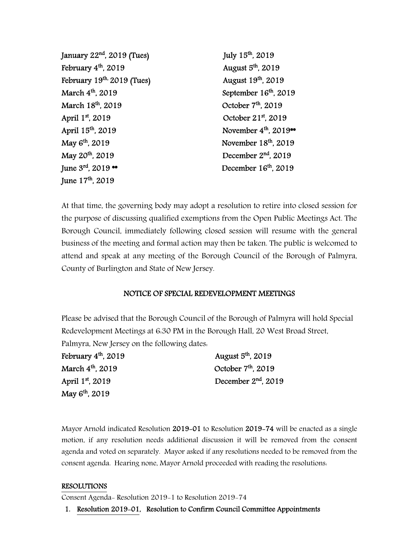| January 22 <sup>nd</sup> , 2019 (Tues) | July 15th, 2019                               |
|----------------------------------------|-----------------------------------------------|
| February 4 <sup>th</sup> , 2019        | August 5 <sup>th</sup> , 2019                 |
| February 19th. 2019 (Tues)             | August 19th, 2019                             |
| March 4 <sup>th</sup> , 2019           | September 16th, 2019                          |
| March 18th, 2019                       | October 7 <sup>th</sup> , 2019                |
| April 1st, 2019                        | October 21st, 2019                            |
| April 15 <sup>th</sup> , 2019          | November 4 <sup>th</sup> , 2019 <sup>**</sup> |
| May 6 <sup>th</sup> , 2019             | November 18th, 2019                           |
| May 20 <sup>th</sup> , 2019            | December $2nd$ , 2019                         |
| June $3^{rd}$ , 2019 ••                | December 16 <sup>th</sup> , 2019              |
| June 17 <sup>th</sup> , 2019           |                                               |

At that time, the governing body may adopt a resolution to retire into closed session for the purpose of discussing qualified exemptions from the Open Public Meetings Act. The Borough Council, immediately following closed session will resume with the general business of the meeting and formal action may then be taken. The public is welcomed to attend and speak at any meeting of the Borough Council of the Borough of Palmyra, County of Burlington and State of New Jersey.

### NOTICE OF SPECIAL REDEVELOPMENT MEETINGS

Please be advised that the Borough Council of the Borough of Palmyra will hold Special Redevelopment Meetings at 6:30 PM in the Borough Hall, 20 West Broad Street, Palmyra, New Jersey on the following dates:

| February $4th$ , 2019        | August $5th$ , 2019   |
|------------------------------|-----------------------|
| March 4 <sup>th</sup> , 2019 | October $7th$ , 2019  |
| April 1 <sup>st</sup> , 2019 | December $2nd$ , 2019 |
| May 6 <sup>th</sup> , 2019   |                       |

Mayor Arnold indicated Resolution 2019-01 to Resolution 2019-74 will be enacted as a single motion, if any resolution needs additional discussion it will be removed from the consent agenda and voted on separately. Mayor asked if any resolutions needed to be removed from the consent agenda. Hearing none, Mayor Arnold proceeded with reading the resolutions:

### RESOLUTIONS

Consent Agenda- Resolution 2019-1 to Resolution 2019-74

1. Resolution 2019-01, Resolution to Confirm Council Committee Appointments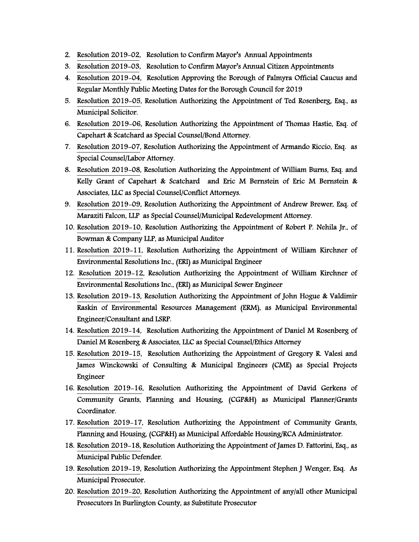- 2. Resolution 2019-02, Resolution to Confirm Mayor's Annual Appointments
- 3. Resolution 2019-03, Resolution to Confirm Mayor's Annual Citizen Appointments
- 4. Resolution 2019-04, Resolution Approving the Borough of Palmyra Official Caucus and Regular Monthly Public Meeting Dates for the Borough Council for 2019
- 5. Resolution 2019-05, Resolution Authorizing the Appointment of Ted Rosenberg, Esq., as Municipal Solicitor.
- 6. Resolution 2019-06, Resolution Authorizing the Appointment of Thomas Hastie, Esq. of Capehart & Scatchard as Special Counsel/Bond Attorney.
- 7. Resolution 2019-07, Resolution Authorizing the Appointment of Armando Riccio, Esq. as Special Counsel/Labor Attorney.
- 8. Resolution 2019-08, Resolution Authorizing the Appointment of William Burns, Esq. and Kelly Grant of Capehart & Scatchard and Eric M Bernstein of Eric M Bernstein & Associates, LLC as Special Counsel/Conflict Attorneys.
- 9. Resolution 2019-09, Resolution Authorizing the Appointment of Andrew Brewer, Esq. of Maraziti Falcon, LLP as Special Counsel/Municipal Redevelopment Attorney.
- 10. Resolution 2019-10, Resolution Authorizing the Appointment of Robert P. Nehila Jr., of Bowman & Company LLP, as Municipal Auditor
- 11. Resolution 2019-11, Resolution Authorizing the Appointment of William Kirchner of Environmental Resolutions Inc., (ERI) as Municipal Engineer
- 12. Resolution 2019-12, Resolution Authorizing the Appointment of William Kirchner of Environmental Resolutions Inc., (ERI) as Municipal Sewer Engineer
- 13. Resolution 2019-13, Resolution Authorizing the Appointment of John Hogue & Valdimir Raskin of Environmental Resources Management (ERM), as Municipal Environmental Engineer/Consultant and LSRP.
- 14. Resolution 2019-14, Resolution Authorizing the Appointment of Daniel M Rosenberg of Daniel M Rosenberg & Associates, LLC as Special Counsel/Ethics Attorney
- 15. Resolution 2019-15, Resolution Authorizing the Appointment of Gregory R. Valesi and James Winckowski of Consulting & Municipal Engineers (CME) as Special Projects Engineer
- 16. Resolution 2019-16, Resolution Authorizing the Appointment of David Gerkens of Community Grants, Planning and Housing, (CGP&H) as Municipal Planner/Grants Coordinator.
- 17. Resolution 2019-17, Resolution Authorizing the Appointment of Community Grants, Planning and Housing, (CGP&H) as Municipal Affordable Housing/RCA Administrator.
- 18. Resolution 2019-18, Resolution Authorizing the Appointment of James D. Fattorini, Esq., as Municipal Public Defender.
- 19. Resolution 2019-19, Resolution Authorizing the Appointment Stephen J Wenger, Esq. As Municipal Prosecutor.
- 20. Resolution 2019-20, Resolution Authorizing the Appointment of any/all other Municipal Prosecutors In Burlington County, as Substitute Prosecutor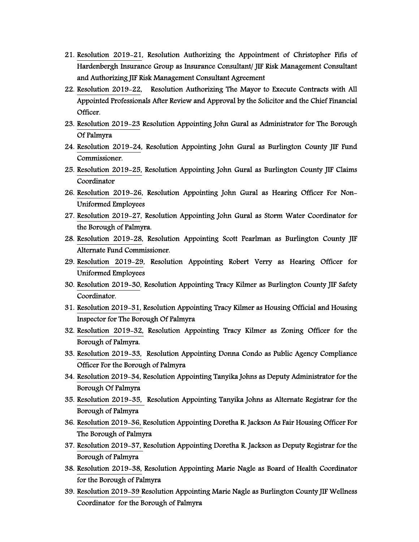- 21. Resolution 2019-21, Resolution Authorizing the Appointment of Christopher Fifis of Hardenbergh Insurance Group as Insurance Consultant/ JIF Risk Management Consultant and Authorizing JIF Risk Management Consultant Agreement
- 22. Resolution 2019-22, Resolution Authorizing The Mayor to Execute Contracts with All Appointed Professionals After Review and Approval by the Solicitor and the Chief Financial Officer.
- 23. Resolution 2019-23 Resolution Appointing John Gural as Administrator for The Borough Of Palmyra
- 24. Resolution 2019-24, Resolution Appointing John Gural as Burlington County JIF Fund Commissioner.
- 25. Resolution 2019-25, Resolution Appointing John Gural as Burlington County JIF Claims Coordinator
- 26. Resolution 2019-26, Resolution Appointing John Gural as Hearing Officer For Non-Uniformed Employees
- 27. Resolution 2019-27, Resolution Appointing John Gural as Storm Water Coordinator for the Borough of Palmyra.
- 28. Resolution 2019-28, Resolution Appointing Scott Pearlman as Burlington County JIF Alternate Fund Commissioner.
- 29. Resolution 2019-29, Resolution Appointing Robert Verry as Hearing Officer for Uniformed Employees
- 30. Resolution 2019-30, Resolution Appointing Tracy Kilmer as Burlington County JIF Safety Coordinator.
- 31. Resolution 2019-31, Resolution Appointing Tracy Kilmer as Housing Official and Housing Inspector for The Borough Of Palmyra
- 32. Resolution 2019-32, Resolution Appointing Tracy Kilmer as Zoning Officer for the Borough of Palmyra.
- 33. Resolution 2019-33, Resolution Appointing Donna Condo as Public Agency Compliance Officer For the Borough of Palmyra
- 34. Resolution 2019-34, Resolution Appointing Tanyika Johns as Deputy Administrator for the Borough Of Palmyra
- 35. Resolution 2019-35, Resolution Appointing Tanyika Johns as Alternate Registrar for the Borough of Palmyra
- 36. Resolution 2019-36, Resolution Appointing Doretha R. Jackson As Fair Housing Officer For The Borough of Palmyra
- 37. Resolution 2019-37, Resolution Appointing Doretha R. Jackson as Deputy Registrar for the Borough of Palmyra
- 38. Resolution 2019-38, Resolution Appointing Marie Nagle as Board of Health Coordinator for the Borough of Palmyra
- 39. Resolution 2019-39 Resolution Appointing Marie Nagle as Burlington County JIF Wellness Coordinator for the Borough of Palmyra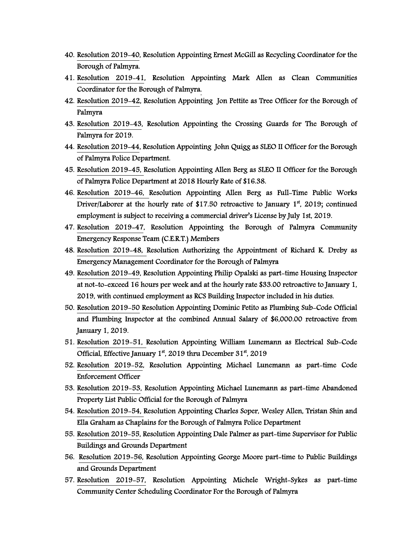- 40. Resolution 2019-40, Resolution Appointing Ernest McGill as Recycling Coordinator for the Borough of Palmyra.
- 41. Resolution 2019-41, Resolution Appointing Mark Allen as Clean Communities Coordinator for the Borough of Palmyra.
- 42. Resolution 2019-42, Resolution Appointing Jon Pettite as Tree Officer for the Borough of Palmyra
- 43. Resolution 2019-43, Resolution Appointing the Crossing Guards for The Borough of Palmyra for 2019.
- 44. Resolution 2019-44, Resolution Appointing John Quigg as SLEO II Officer for the Borough of Palmyra Police Department.
- 45. Resolution 2019-45, Resolution Appointing Allen Berg as SLEO II Officer for the Borough of Palmyra Police Department at 2018 Hourly Rate of \$16.38.
- 46. Resolution 2019-46, Resolution Appointing Allen Berg as Full-Time Public Works Driver/Laborer at the hourly rate of \$17.50 retroactive to January  $1<sup>st</sup>$ , 2019; continued employment is subject to receiving a commercial driver's License by July 1st, 2019.
- 47. Resolution 2019-47, Resolution Appointing the Borough of Palmyra Community Emergency Response Team (C.E.R.T.) Members
- 48. Resolution 2019-48, Resolution Authorizing the Appointment of Richard K. Dreby as Emergency Management Coordinator for the Borough of Palmyra
- 49. Resolution 2019-49, Resolution Appointing Philip Opalski as part-time Housing Inspector at not-to-exceed 16 hours per week and at the hourly rate \$33.00 retroactive to January 1, 2019, with continued employment as RCS Building Inspector included in his duties.
- 50. Resolution 2019-50 Resolution Appointing Dominic Petito as Plumbing Sub-Code Official and Plumbing Inspector at the combined Annual Salary of \$6,000.00 retroactive from January 1, 2019.
- 51. Resolution 2019-51, Resolution Appointing William Lunemann as Electrical Sub-Code Official, Effective January  $1<sup>st</sup>$ , 2019 thru December 31 $<sup>st</sup>$ , 2019</sup>
- 52. Resolution 2019-52, Resolution Appointing Michael Lunemann as part-time Code Enforcement Officer
- 53. Resolution 2019-53, Resolution Appointing Michael Lunemann as part-time Abandoned Property List Public Official for the Borough of Palmyra
- 54. Resolution 2019-54, Resolution Appointing Charles Soper, Wesley Allen, Tristan Shin and Ella Graham as Chaplains for the Borough of Palmyra Police Department
- 55. Resolution 2019-55, Resolution Appointing Dale Palmer as part-time Supervisor for Public Buildings and Grounds Department
- 56. Resolution 2019-56, Resolution Appointing George Moore part-time to Public Buildings and Grounds Department
- 57. Resolution 2019-57, Resolution Appointing Michele Wright-Sykes as part-time Community Center Scheduling Coordinator For the Borough of Palmyra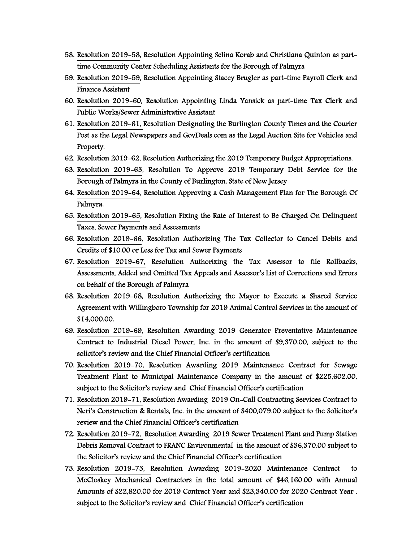- 58. Resolution 2019-58, Resolution Appointing Selina Korab and Christiana Quinton as parttime Community Center Scheduling Assistants for the Borough of Palmyra
- 59. Resolution 2019-59, Resolution Appointing Stacey Brugler as part-time Payroll Clerk and Finance Assistant
- 60. Resolution 2019-60, Resolution Appointing Linda Yansick as part-time Tax Clerk and Public Works/Sewer Administrative Assistant
- 61. Resolution 2019-61, Resolution Designating the Burlington County Times and the Courier Post as the Legal Newspapers and GovDeals.com as the Legal Auction Site for Vehicles and Property.
- 62. Resolution 2019-62, Resolution Authorizing the 2019 Temporary Budget Appropriations.
- 63. Resolution 2019-63, Resolution To Approve 2019 Temporary Debt Service for the Borough of Palmyra in the County of Burlington, State of New Jersey
- 64. Resolution 2019-64, Resolution Approving a Cash Management Plan for The Borough Of Palmyra.
- 65. Resolution 2019-65, Resolution Fixing the Rate of Interest to Be Charged On Delinquent Taxes, Sewer Payments and Assessments
- 66. Resolution 2019-66, Resolution Authorizing The Tax Collector to Cancel Debits and Credits of \$10.00 or Less for Tax and Sewer Payments
- 67. Resolution 2019-67, Resolution Authorizing the Tax Assessor to file Rollbacks, Assessments, Added and Omitted Tax Appeals and Assessor's List of Corrections and Errors on behalf of the Borough of Palmyra
- 68. Resolution 2019-68, Resolution Authorizing the Mayor to Execute a Shared Service Agreement with Willingboro Township for 2019 Animal Control Services in the amount of \$14,000.00.
- 69. Resolution 2019-69, Resolution Awarding 2019 Generator Preventative Maintenance Contract to Industrial Diesel Power, Inc. in the amount of \$9,370.00, subject to the solicitor's review and the Chief Financial Officer's certification
- 70. Resolution 2019-70, Resolution Awarding 2019 Maintenance Contract for Sewage Treatment Plant to Municipal Maintenance Company in the amount of \$225,602.00, subject to the Solicitor's review and Chief Financial Officer's certification
- 71. Resolution 2019-71, Resolution Awarding 2019 On-Call Contracting Services Contract to Neri's Construction & Rentals, Inc. in the amount of \$400,079.00 subject to the Solicitor's review and the Chief Financial Officer's certification
- 72. Resolution 2019-72, Resolution Awarding 2019 Sewer Treatment Plant and Pump Station Debris Removal Contract to FRANC Environmental in the amount of \$36,370.00 subject to the Solicitor's review and the Chief Financial Officer's certification
- 73. Resolution 2019-73, Resolution Awarding 2019-2020 Maintenance Contract to McCloskey Mechanical Contractors in the total amount of \$46,160.00 with Annual Amounts of \$22,820.00 for 2019 Contract Year and \$23,340.00 for 2020 Contract Year , subject to the Solicitor's review and Chief Financial Officer's certification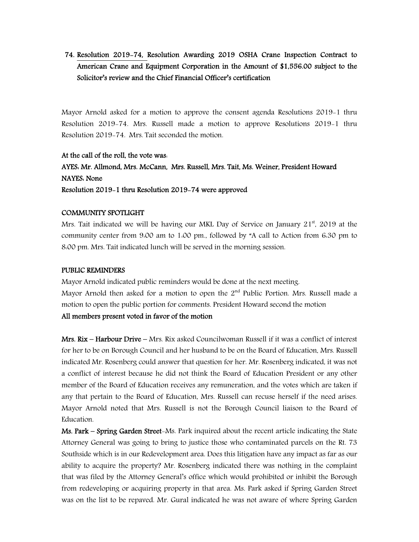74. Resolution 2019-74, Resolution Awarding 2019 OSHA Crane Inspection Contract to American Crane and Equipment Corporation in the Amount of \$1,556.00 subject to the Solicitor's review and the Chief Financial Officer's certification

Mayor Arnold asked for a motion to approve the consent agenda Resolutions 2019-1 thru Resolution 2019-74. Mrs. Russell made a motion to approve Resolutions 2019-1 thru Resolution 2019-74. Mrs. Tait seconded the motion.

## At the call of the roll, the vote was: AYES: Mr. Allmond, Mrs. McCann, Mrs. Russell, Mrs. Tait, Ms. Weiner, President Howard NAYES: None Resolution 2019-1 thru Resolution 2019-74 were approved

### COMMUNITY SPOTLIGHT

Mrs. Tait indicated we will be having our MKL Day of Service on January  $21<sup>st</sup>$ , 2019 at the community center from 9:00 am to 1:00 pm., followed by "A call to Action from 6:30 pm to 8:00 pm. Mrs. Tait indicated lunch will be served in the morning session.

#### PUBLIC REMINDERS

Mayor Arnold indicated public reminders would be done at the next meeting. Mayor Arnold then asked for a motion to open the  $2<sup>nd</sup>$  Public Portion. Mrs. Russell made a motion to open the public portion for comments. President Howard second the motion All members present voted in favor of the motion

Mrs. Rix – Harbour Drive – Mrs. Rix asked Councilwoman Russell if it was a conflict of interest for her to be on Borough Council and her husband to be on the Board of Education. Mrs. Russell indicated Mr. Rosenberg could answer that question for her. Mr. Rosenberg indicated, it was not a conflict of interest because he did not think the Board of Education President or any other member of the Board of Education receives any remuneration, and the votes which are taken if any that pertain to the Board of Education, Mrs. Russell can recuse herself if the need arises. Mayor Arnold noted that Mrs. Russell is not the Borough Council liaison to the Board of Education.

Ms. Park – Spring Garden Street-Ms. Park inquired about the recent article indicating the State Attorney General was going to bring to justice those who contaminated parcels on the Rt. 73 Southside which is in our Redevelopment area. Does this litigation have any impact as far as our ability to acquire the property? Mr. Rosenberg indicated there was nothing in the complaint that was filed by the Attorney General's office which would prohibited or inhibit the Borough from redeveloping or acquiring property in that area. Ms. Park asked if Spring Garden Street was on the list to be repaved. Mr. Gural indicated he was not aware of where Spring Garden